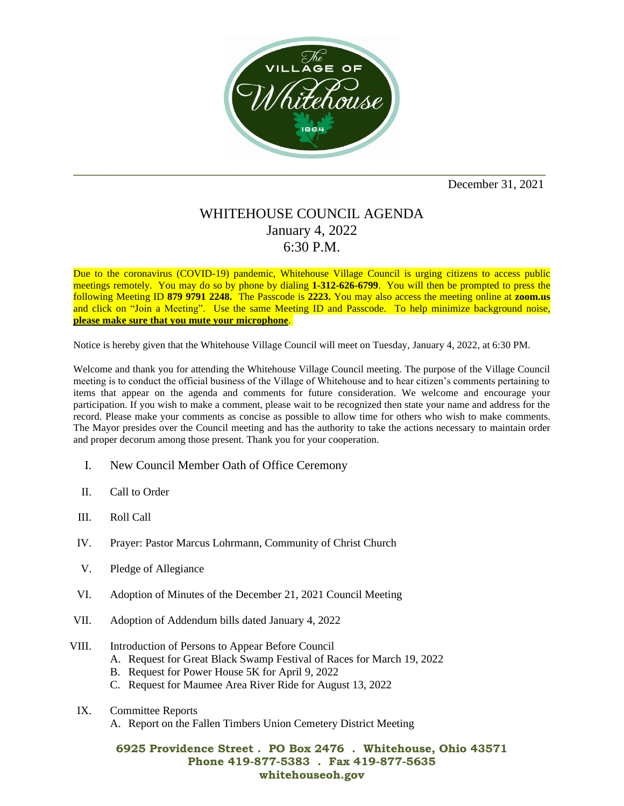

December 31, 2021

## WHITEHOUSE COUNCIL AGENDA January 4, 2022 6:30 P.M.

Due to the coronavirus (COVID-19) pandemic, Whitehouse Village Council is urging citizens to access public meetings remotely. You may do so by phone by dialing **1-312-626-6799**. You will then be prompted to press the following Meeting ID **879 9791 2248.** The Passcode is **2223.** You may also access the meeting online at **zoom.us** and click on "Join a Meeting". Use the same Meeting ID and Passcode. To help minimize background noise, **please make sure that you mute your microphone**.

Notice is hereby given that the Whitehouse Village Council will meet on Tuesday, January 4, 2022, at 6:30 PM.

Welcome and thank you for attending the Whitehouse Village Council meeting. The purpose of the Village Council meeting is to conduct the official business of the Village of Whitehouse and to hear citizen's comments pertaining to items that appear on the agenda and comments for future consideration. We welcome and encourage your participation. If you wish to make a comment, please wait to be recognized then state your name and address for the record. Please make your comments as concise as possible to allow time for others who wish to make comments. The Mayor presides over the Council meeting and has the authority to take the actions necessary to maintain order and proper decorum among those present. Thank you for your cooperation.

- I. New Council Member Oath of Office Ceremony
- II. Call to Order
- III. Roll Call
- IV. Prayer: Pastor Marcus Lohrmann, Community of Christ Church
- V. Pledge of Allegiance
- VI. Adoption of Minutes of the December 21, 2021 Council Meeting
- VII. Adoption of Addendum bills dated January 4, 2022
- VIII. Introduction of Persons to Appear Before Council
	- A. Request for Great Black Swamp Festival of Races for March 19, 2022
	- B. Request for Power House 5K for April 9, 2022
	- C. Request for Maumee Area River Ride for August 13, 2022
	- IX. Committee Reports
		- A. Report on the Fallen Timbers Union Cemetery District Meeting

## **6925 Providence Street . PO Box 2476 . Whitehouse, Ohio 43571 Phone 419-877-5383 . Fax 419-877-5635 whitehouseoh.gov**